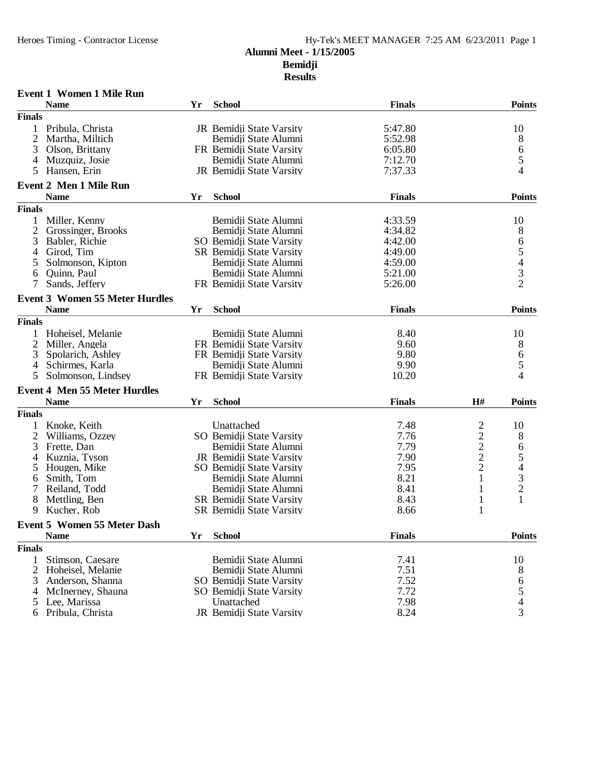### **Alumni Meet - 1/15/2005**

**Bemidji**

| <b>Finals</b><br><b>Points</b><br><b>Name</b><br><b>School</b><br>Yr<br><b>Finals</b><br>5:47.80<br>Pribula, Christa<br>JR Bemidji State Varsity<br>10<br>2<br>Bemidji State Alumni<br>5:52.98<br>8<br>Martha, Miltich<br>6<br>6:05.80<br>3<br>Olson, Brittany<br>FR Bemidji State Varsity<br>5<br>Bemidji State Alumni<br>7:12.70<br>Muzquiz, Josie<br>4<br>4<br>JR Bemidji State Varsity<br>7:37.33<br>Hansen, Erin<br>5<br>Event 2 Men 1 Mile Run<br><b>Name</b><br><b>Finals</b><br><b>Points</b><br>Yr<br><b>School</b><br><b>Finals</b><br>4:33.59<br>Miller, Kenny<br>Bemidji State Alumni<br>10<br>$\overline{2}$<br>8<br>Grossinger, Brooks<br>Bemidji State Alumni<br>4:34.82<br>65432<br>3<br>SO Bemidji State Varsity<br>4:42.00<br>Babler, Richie<br>SR Bemidji State Varsity<br>Girod, Tim<br>4:49.00<br>4<br>Bemidji State Alumni<br>Solmonson, Kipton<br>4:59.00<br>5<br>Quinn, Paul<br>Bemidji State Alumni<br>5:21.00<br>6<br>7<br>Sands, Jeffery<br>FR Bemidji State Varsity<br>5:26.00<br><b>Event 3 Women 55 Meter Hurdles</b><br><b>Points</b><br><b>School</b><br><b>Finals</b><br><b>Name</b><br>Yr<br><b>Finals</b><br>Bemidji State Alumni<br>Hoheisel, Melanie<br>8.40<br>10<br>1<br>$\overline{2}$<br>FR Bemidji State Varsity<br>8<br>Miller, Angela<br>9.60<br>6<br>FR Bemidji State Varsity<br>9.80<br>3<br>Spolarich, Ashley<br>5<br>Schirmes, Karla<br>Bemidji State Alumni<br>9.90<br>4<br>4<br>FR Bemidji State Varsity<br>10.20<br>Solmonson, Lindsey<br>5<br><b>Event 4 Men 55 Meter Hurdles</b><br><b>School</b><br><b>Finals</b><br>H#<br><b>Points</b><br><b>Name</b><br>Yr<br><b>Finals</b><br>7.48<br>$\overline{\mathbf{c}}$<br>Knoke, Keith<br>Unattached<br>10<br>1<br>$\overline{2}$<br>7.76<br>$\overline{\mathbf{c}}$<br>SO Bemidji State Varsity<br>8<br>Williams, Ozzey<br>$\overline{c}$<br>3<br>7.79<br>6<br>Frette, Dan<br>Bemidji State Alumni<br>$\frac{2}{2}$<br>$\frac{5}{4}$<br>3<br>2<br>7.90<br>Kuznia, Tyson<br>JR Bemidji State Varsity<br>4<br>7.95<br>Hougen, Mike<br>SO Bemidji State Varsity<br>5<br>$\mathbf{1}$<br>8.21<br>Smith, Tom<br>Bemidji State Alumni<br>6<br>7<br>Bemidji State Alumni<br>8.41<br>1<br>Reiland, Todd |
|---------------------------------------------------------------------------------------------------------------------------------------------------------------------------------------------------------------------------------------------------------------------------------------------------------------------------------------------------------------------------------------------------------------------------------------------------------------------------------------------------------------------------------------------------------------------------------------------------------------------------------------------------------------------------------------------------------------------------------------------------------------------------------------------------------------------------------------------------------------------------------------------------------------------------------------------------------------------------------------------------------------------------------------------------------------------------------------------------------------------------------------------------------------------------------------------------------------------------------------------------------------------------------------------------------------------------------------------------------------------------------------------------------------------------------------------------------------------------------------------------------------------------------------------------------------------------------------------------------------------------------------------------------------------------------------------------------------------------------------------------------------------------------------------------------------------------------------------------------------------------------------------------------------------------------------------------------------------------------------------------------------------------------------------------------------------------------------------------------------------------------------------------------------------------------------------------|
|                                                                                                                                                                                                                                                                                                                                                                                                                                                                                                                                                                                                                                                                                                                                                                                                                                                                                                                                                                                                                                                                                                                                                                                                                                                                                                                                                                                                                                                                                                                                                                                                                                                                                                                                                                                                                                                                                                                                                                                                                                                                                                                                                                                                   |
|                                                                                                                                                                                                                                                                                                                                                                                                                                                                                                                                                                                                                                                                                                                                                                                                                                                                                                                                                                                                                                                                                                                                                                                                                                                                                                                                                                                                                                                                                                                                                                                                                                                                                                                                                                                                                                                                                                                                                                                                                                                                                                                                                                                                   |
|                                                                                                                                                                                                                                                                                                                                                                                                                                                                                                                                                                                                                                                                                                                                                                                                                                                                                                                                                                                                                                                                                                                                                                                                                                                                                                                                                                                                                                                                                                                                                                                                                                                                                                                                                                                                                                                                                                                                                                                                                                                                                                                                                                                                   |
|                                                                                                                                                                                                                                                                                                                                                                                                                                                                                                                                                                                                                                                                                                                                                                                                                                                                                                                                                                                                                                                                                                                                                                                                                                                                                                                                                                                                                                                                                                                                                                                                                                                                                                                                                                                                                                                                                                                                                                                                                                                                                                                                                                                                   |
|                                                                                                                                                                                                                                                                                                                                                                                                                                                                                                                                                                                                                                                                                                                                                                                                                                                                                                                                                                                                                                                                                                                                                                                                                                                                                                                                                                                                                                                                                                                                                                                                                                                                                                                                                                                                                                                                                                                                                                                                                                                                                                                                                                                                   |
|                                                                                                                                                                                                                                                                                                                                                                                                                                                                                                                                                                                                                                                                                                                                                                                                                                                                                                                                                                                                                                                                                                                                                                                                                                                                                                                                                                                                                                                                                                                                                                                                                                                                                                                                                                                                                                                                                                                                                                                                                                                                                                                                                                                                   |
|                                                                                                                                                                                                                                                                                                                                                                                                                                                                                                                                                                                                                                                                                                                                                                                                                                                                                                                                                                                                                                                                                                                                                                                                                                                                                                                                                                                                                                                                                                                                                                                                                                                                                                                                                                                                                                                                                                                                                                                                                                                                                                                                                                                                   |
|                                                                                                                                                                                                                                                                                                                                                                                                                                                                                                                                                                                                                                                                                                                                                                                                                                                                                                                                                                                                                                                                                                                                                                                                                                                                                                                                                                                                                                                                                                                                                                                                                                                                                                                                                                                                                                                                                                                                                                                                                                                                                                                                                                                                   |
|                                                                                                                                                                                                                                                                                                                                                                                                                                                                                                                                                                                                                                                                                                                                                                                                                                                                                                                                                                                                                                                                                                                                                                                                                                                                                                                                                                                                                                                                                                                                                                                                                                                                                                                                                                                                                                                                                                                                                                                                                                                                                                                                                                                                   |
|                                                                                                                                                                                                                                                                                                                                                                                                                                                                                                                                                                                                                                                                                                                                                                                                                                                                                                                                                                                                                                                                                                                                                                                                                                                                                                                                                                                                                                                                                                                                                                                                                                                                                                                                                                                                                                                                                                                                                                                                                                                                                                                                                                                                   |
|                                                                                                                                                                                                                                                                                                                                                                                                                                                                                                                                                                                                                                                                                                                                                                                                                                                                                                                                                                                                                                                                                                                                                                                                                                                                                                                                                                                                                                                                                                                                                                                                                                                                                                                                                                                                                                                                                                                                                                                                                                                                                                                                                                                                   |
|                                                                                                                                                                                                                                                                                                                                                                                                                                                                                                                                                                                                                                                                                                                                                                                                                                                                                                                                                                                                                                                                                                                                                                                                                                                                                                                                                                                                                                                                                                                                                                                                                                                                                                                                                                                                                                                                                                                                                                                                                                                                                                                                                                                                   |
|                                                                                                                                                                                                                                                                                                                                                                                                                                                                                                                                                                                                                                                                                                                                                                                                                                                                                                                                                                                                                                                                                                                                                                                                                                                                                                                                                                                                                                                                                                                                                                                                                                                                                                                                                                                                                                                                                                                                                                                                                                                                                                                                                                                                   |
|                                                                                                                                                                                                                                                                                                                                                                                                                                                                                                                                                                                                                                                                                                                                                                                                                                                                                                                                                                                                                                                                                                                                                                                                                                                                                                                                                                                                                                                                                                                                                                                                                                                                                                                                                                                                                                                                                                                                                                                                                                                                                                                                                                                                   |
|                                                                                                                                                                                                                                                                                                                                                                                                                                                                                                                                                                                                                                                                                                                                                                                                                                                                                                                                                                                                                                                                                                                                                                                                                                                                                                                                                                                                                                                                                                                                                                                                                                                                                                                                                                                                                                                                                                                                                                                                                                                                                                                                                                                                   |
|                                                                                                                                                                                                                                                                                                                                                                                                                                                                                                                                                                                                                                                                                                                                                                                                                                                                                                                                                                                                                                                                                                                                                                                                                                                                                                                                                                                                                                                                                                                                                                                                                                                                                                                                                                                                                                                                                                                                                                                                                                                                                                                                                                                                   |
|                                                                                                                                                                                                                                                                                                                                                                                                                                                                                                                                                                                                                                                                                                                                                                                                                                                                                                                                                                                                                                                                                                                                                                                                                                                                                                                                                                                                                                                                                                                                                                                                                                                                                                                                                                                                                                                                                                                                                                                                                                                                                                                                                                                                   |
|                                                                                                                                                                                                                                                                                                                                                                                                                                                                                                                                                                                                                                                                                                                                                                                                                                                                                                                                                                                                                                                                                                                                                                                                                                                                                                                                                                                                                                                                                                                                                                                                                                                                                                                                                                                                                                                                                                                                                                                                                                                                                                                                                                                                   |
|                                                                                                                                                                                                                                                                                                                                                                                                                                                                                                                                                                                                                                                                                                                                                                                                                                                                                                                                                                                                                                                                                                                                                                                                                                                                                                                                                                                                                                                                                                                                                                                                                                                                                                                                                                                                                                                                                                                                                                                                                                                                                                                                                                                                   |
|                                                                                                                                                                                                                                                                                                                                                                                                                                                                                                                                                                                                                                                                                                                                                                                                                                                                                                                                                                                                                                                                                                                                                                                                                                                                                                                                                                                                                                                                                                                                                                                                                                                                                                                                                                                                                                                                                                                                                                                                                                                                                                                                                                                                   |
|                                                                                                                                                                                                                                                                                                                                                                                                                                                                                                                                                                                                                                                                                                                                                                                                                                                                                                                                                                                                                                                                                                                                                                                                                                                                                                                                                                                                                                                                                                                                                                                                                                                                                                                                                                                                                                                                                                                                                                                                                                                                                                                                                                                                   |
|                                                                                                                                                                                                                                                                                                                                                                                                                                                                                                                                                                                                                                                                                                                                                                                                                                                                                                                                                                                                                                                                                                                                                                                                                                                                                                                                                                                                                                                                                                                                                                                                                                                                                                                                                                                                                                                                                                                                                                                                                                                                                                                                                                                                   |
|                                                                                                                                                                                                                                                                                                                                                                                                                                                                                                                                                                                                                                                                                                                                                                                                                                                                                                                                                                                                                                                                                                                                                                                                                                                                                                                                                                                                                                                                                                                                                                                                                                                                                                                                                                                                                                                                                                                                                                                                                                                                                                                                                                                                   |
|                                                                                                                                                                                                                                                                                                                                                                                                                                                                                                                                                                                                                                                                                                                                                                                                                                                                                                                                                                                                                                                                                                                                                                                                                                                                                                                                                                                                                                                                                                                                                                                                                                                                                                                                                                                                                                                                                                                                                                                                                                                                                                                                                                                                   |
|                                                                                                                                                                                                                                                                                                                                                                                                                                                                                                                                                                                                                                                                                                                                                                                                                                                                                                                                                                                                                                                                                                                                                                                                                                                                                                                                                                                                                                                                                                                                                                                                                                                                                                                                                                                                                                                                                                                                                                                                                                                                                                                                                                                                   |
|                                                                                                                                                                                                                                                                                                                                                                                                                                                                                                                                                                                                                                                                                                                                                                                                                                                                                                                                                                                                                                                                                                                                                                                                                                                                                                                                                                                                                                                                                                                                                                                                                                                                                                                                                                                                                                                                                                                                                                                                                                                                                                                                                                                                   |
|                                                                                                                                                                                                                                                                                                                                                                                                                                                                                                                                                                                                                                                                                                                                                                                                                                                                                                                                                                                                                                                                                                                                                                                                                                                                                                                                                                                                                                                                                                                                                                                                                                                                                                                                                                                                                                                                                                                                                                                                                                                                                                                                                                                                   |
|                                                                                                                                                                                                                                                                                                                                                                                                                                                                                                                                                                                                                                                                                                                                                                                                                                                                                                                                                                                                                                                                                                                                                                                                                                                                                                                                                                                                                                                                                                                                                                                                                                                                                                                                                                                                                                                                                                                                                                                                                                                                                                                                                                                                   |
|                                                                                                                                                                                                                                                                                                                                                                                                                                                                                                                                                                                                                                                                                                                                                                                                                                                                                                                                                                                                                                                                                                                                                                                                                                                                                                                                                                                                                                                                                                                                                                                                                                                                                                                                                                                                                                                                                                                                                                                                                                                                                                                                                                                                   |
|                                                                                                                                                                                                                                                                                                                                                                                                                                                                                                                                                                                                                                                                                                                                                                                                                                                                                                                                                                                                                                                                                                                                                                                                                                                                                                                                                                                                                                                                                                                                                                                                                                                                                                                                                                                                                                                                                                                                                                                                                                                                                                                                                                                                   |
|                                                                                                                                                                                                                                                                                                                                                                                                                                                                                                                                                                                                                                                                                                                                                                                                                                                                                                                                                                                                                                                                                                                                                                                                                                                                                                                                                                                                                                                                                                                                                                                                                                                                                                                                                                                                                                                                                                                                                                                                                                                                                                                                                                                                   |
|                                                                                                                                                                                                                                                                                                                                                                                                                                                                                                                                                                                                                                                                                                                                                                                                                                                                                                                                                                                                                                                                                                                                                                                                                                                                                                                                                                                                                                                                                                                                                                                                                                                                                                                                                                                                                                                                                                                                                                                                                                                                                                                                                                                                   |
|                                                                                                                                                                                                                                                                                                                                                                                                                                                                                                                                                                                                                                                                                                                                                                                                                                                                                                                                                                                                                                                                                                                                                                                                                                                                                                                                                                                                                                                                                                                                                                                                                                                                                                                                                                                                                                                                                                                                                                                                                                                                                                                                                                                                   |
|                                                                                                                                                                                                                                                                                                                                                                                                                                                                                                                                                                                                                                                                                                                                                                                                                                                                                                                                                                                                                                                                                                                                                                                                                                                                                                                                                                                                                                                                                                                                                                                                                                                                                                                                                                                                                                                                                                                                                                                                                                                                                                                                                                                                   |
|                                                                                                                                                                                                                                                                                                                                                                                                                                                                                                                                                                                                                                                                                                                                                                                                                                                                                                                                                                                                                                                                                                                                                                                                                                                                                                                                                                                                                                                                                                                                                                                                                                                                                                                                                                                                                                                                                                                                                                                                                                                                                                                                                                                                   |
|                                                                                                                                                                                                                                                                                                                                                                                                                                                                                                                                                                                                                                                                                                                                                                                                                                                                                                                                                                                                                                                                                                                                                                                                                                                                                                                                                                                                                                                                                                                                                                                                                                                                                                                                                                                                                                                                                                                                                                                                                                                                                                                                                                                                   |
| $\mathbf{1}$<br>8.43<br>8<br>Mettling, Ben<br>SR Bemidji State Varsity<br>$\mathbf{1}$                                                                                                                                                                                                                                                                                                                                                                                                                                                                                                                                                                                                                                                                                                                                                                                                                                                                                                                                                                                                                                                                                                                                                                                                                                                                                                                                                                                                                                                                                                                                                                                                                                                                                                                                                                                                                                                                                                                                                                                                                                                                                                            |
| $\mathbf{1}$<br>9<br>Kucher, Rob<br>SR Bemidji State Varsity<br>8.66                                                                                                                                                                                                                                                                                                                                                                                                                                                                                                                                                                                                                                                                                                                                                                                                                                                                                                                                                                                                                                                                                                                                                                                                                                                                                                                                                                                                                                                                                                                                                                                                                                                                                                                                                                                                                                                                                                                                                                                                                                                                                                                              |
| <b>Event 5 Women 55 Meter Dash</b>                                                                                                                                                                                                                                                                                                                                                                                                                                                                                                                                                                                                                                                                                                                                                                                                                                                                                                                                                                                                                                                                                                                                                                                                                                                                                                                                                                                                                                                                                                                                                                                                                                                                                                                                                                                                                                                                                                                                                                                                                                                                                                                                                                |
| <b>School</b><br><b>Finals</b><br><b>Points</b><br><b>Name</b><br>Yr                                                                                                                                                                                                                                                                                                                                                                                                                                                                                                                                                                                                                                                                                                                                                                                                                                                                                                                                                                                                                                                                                                                                                                                                                                                                                                                                                                                                                                                                                                                                                                                                                                                                                                                                                                                                                                                                                                                                                                                                                                                                                                                              |
| <b>Finals</b>                                                                                                                                                                                                                                                                                                                                                                                                                                                                                                                                                                                                                                                                                                                                                                                                                                                                                                                                                                                                                                                                                                                                                                                                                                                                                                                                                                                                                                                                                                                                                                                                                                                                                                                                                                                                                                                                                                                                                                                                                                                                                                                                                                                     |
| 7.41<br>10<br>1<br>Stimson, Caesare<br>Bemidji State Alumni                                                                                                                                                                                                                                                                                                                                                                                                                                                                                                                                                                                                                                                                                                                                                                                                                                                                                                                                                                                                                                                                                                                                                                                                                                                                                                                                                                                                                                                                                                                                                                                                                                                                                                                                                                                                                                                                                                                                                                                                                                                                                                                                       |
| 7.51<br>2<br>8<br>Hoheisel, Melanie<br>Bemidji State Alumni                                                                                                                                                                                                                                                                                                                                                                                                                                                                                                                                                                                                                                                                                                                                                                                                                                                                                                                                                                                                                                                                                                                                                                                                                                                                                                                                                                                                                                                                                                                                                                                                                                                                                                                                                                                                                                                                                                                                                                                                                                                                                                                                       |
| 7.52<br>SO Bemidji State Varsity<br>3<br>Anderson, Shanna                                                                                                                                                                                                                                                                                                                                                                                                                                                                                                                                                                                                                                                                                                                                                                                                                                                                                                                                                                                                                                                                                                                                                                                                                                                                                                                                                                                                                                                                                                                                                                                                                                                                                                                                                                                                                                                                                                                                                                                                                                                                                                                                         |
| 7.72<br>McInerney, Shauna<br>SO Bemidji State Varsity<br>4                                                                                                                                                                                                                                                                                                                                                                                                                                                                                                                                                                                                                                                                                                                                                                                                                                                                                                                                                                                                                                                                                                                                                                                                                                                                                                                                                                                                                                                                                                                                                                                                                                                                                                                                                                                                                                                                                                                                                                                                                                                                                                                                        |
| 6<br>5<br>4<br>Unattached<br>7.98<br>Lee, Marissa<br>$\mathcal{L}$                                                                                                                                                                                                                                                                                                                                                                                                                                                                                                                                                                                                                                                                                                                                                                                                                                                                                                                                                                                                                                                                                                                                                                                                                                                                                                                                                                                                                                                                                                                                                                                                                                                                                                                                                                                                                                                                                                                                                                                                                                                                                                                                |
| 3<br>JR Bemidji State Varsity<br>8.24<br>Pribula, Christa<br>6                                                                                                                                                                                                                                                                                                                                                                                                                                                                                                                                                                                                                                                                                                                                                                                                                                                                                                                                                                                                                                                                                                                                                                                                                                                                                                                                                                                                                                                                                                                                                                                                                                                                                                                                                                                                                                                                                                                                                                                                                                                                                                                                    |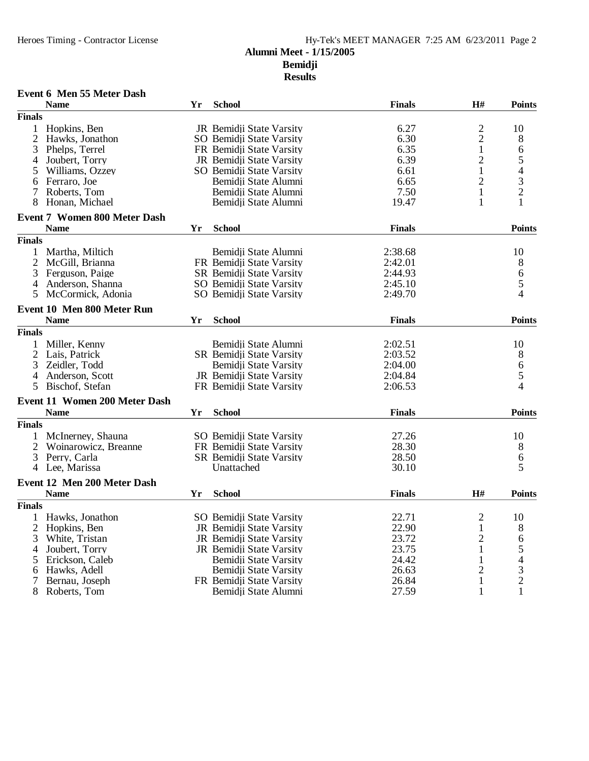### **Alumni Meet - 1/15/2005**

**Bemidji**

| <b>Name</b><br><b>School</b><br><b>Finals</b><br>H#<br>Yr<br><b>Finals</b><br>$\frac{2}{2}$<br>Hopkins, Ben<br>JR Bemidji State Varsity<br>6.27<br>2<br>6.30<br>Hawks, Jonathon<br>SO Bemidji State Varsity<br>$\mathbf 1$<br>3<br>6.35<br>FR Bemidji State Varsity<br>Phelps, Terrel<br>$\overline{c}$<br>6.39<br>Joubert, Torry<br>JR Bemidji State Varsity<br>4<br>$\mathbf{1}$<br>SO Bemidji State Varsity<br>6.61<br>Williams, Ozzey<br>5<br>$\overline{2}$<br>Ferraro, Joe<br>Bemidji State Alumni<br>6.65<br>6<br>7.50<br>$\mathbf{1}$<br>Roberts, Tom<br>Bemidii State Alumni<br>7<br>19.47<br>1<br>8<br>Honan, Michael<br>Bemidji State Alumni | <b>Points</b><br>10<br>8<br>6         |
|---------------------------------------------------------------------------------------------------------------------------------------------------------------------------------------------------------------------------------------------------------------------------------------------------------------------------------------------------------------------------------------------------------------------------------------------------------------------------------------------------------------------------------------------------------------------------------------------------------------------------------------------------------|---------------------------------------|
|                                                                                                                                                                                                                                                                                                                                                                                                                                                                                                                                                                                                                                                         |                                       |
|                                                                                                                                                                                                                                                                                                                                                                                                                                                                                                                                                                                                                                                         |                                       |
|                                                                                                                                                                                                                                                                                                                                                                                                                                                                                                                                                                                                                                                         |                                       |
|                                                                                                                                                                                                                                                                                                                                                                                                                                                                                                                                                                                                                                                         |                                       |
|                                                                                                                                                                                                                                                                                                                                                                                                                                                                                                                                                                                                                                                         |                                       |
|                                                                                                                                                                                                                                                                                                                                                                                                                                                                                                                                                                                                                                                         |                                       |
|                                                                                                                                                                                                                                                                                                                                                                                                                                                                                                                                                                                                                                                         | $\frac{5}{4}$<br>$\frac{3}{2}$        |
|                                                                                                                                                                                                                                                                                                                                                                                                                                                                                                                                                                                                                                                         |                                       |
|                                                                                                                                                                                                                                                                                                                                                                                                                                                                                                                                                                                                                                                         |                                       |
|                                                                                                                                                                                                                                                                                                                                                                                                                                                                                                                                                                                                                                                         | $\mathbf{1}$                          |
| <b>Event 7 Women 800 Meter Dash</b>                                                                                                                                                                                                                                                                                                                                                                                                                                                                                                                                                                                                                     |                                       |
| <b>School</b><br><b>Name</b><br><b>Finals</b><br>Yr                                                                                                                                                                                                                                                                                                                                                                                                                                                                                                                                                                                                     | <b>Points</b>                         |
| <b>Finals</b>                                                                                                                                                                                                                                                                                                                                                                                                                                                                                                                                                                                                                                           |                                       |
| Martha, Miltich<br>Bemidji State Alumni<br>2:38.68<br>1                                                                                                                                                                                                                                                                                                                                                                                                                                                                                                                                                                                                 | 10                                    |
| 2<br>FR Bemidji State Varsity<br>McGill, Brianna<br>2:42.01                                                                                                                                                                                                                                                                                                                                                                                                                                                                                                                                                                                             | 8                                     |
| 3<br>Ferguson, Paige<br>SR Bemidji State Varsity<br>2:44.93                                                                                                                                                                                                                                                                                                                                                                                                                                                                                                                                                                                             |                                       |
| Anderson, Shanna<br>SO Bemidji State Varsity<br>2:45.10<br>4                                                                                                                                                                                                                                                                                                                                                                                                                                                                                                                                                                                            | $\begin{array}{c} 6 \\ 5 \end{array}$ |
| McCormick, Adonia<br>2:49.70<br>5<br>SO Bemidji State Varsity                                                                                                                                                                                                                                                                                                                                                                                                                                                                                                                                                                                           | $\overline{4}$                        |
| Event 10 Men 800 Meter Run                                                                                                                                                                                                                                                                                                                                                                                                                                                                                                                                                                                                                              |                                       |
| <b>School</b><br><b>Name</b><br><b>Finals</b><br>Yr                                                                                                                                                                                                                                                                                                                                                                                                                                                                                                                                                                                                     | <b>Points</b>                         |
| <b>Finals</b>                                                                                                                                                                                                                                                                                                                                                                                                                                                                                                                                                                                                                                           |                                       |
| Miller, Kenny<br>Bemidji State Alumni<br>2:02.51<br>1                                                                                                                                                                                                                                                                                                                                                                                                                                                                                                                                                                                                   | 10                                    |
| 2<br>Lais, Patrick<br><b>SR</b> Bemidii State Varsity<br>2:03.52                                                                                                                                                                                                                                                                                                                                                                                                                                                                                                                                                                                        | 8                                     |
| 3<br>Zeidler, Todd<br>2:04.00<br>Bemidji State Varsity                                                                                                                                                                                                                                                                                                                                                                                                                                                                                                                                                                                                  | 6                                     |
| Anderson, Scott<br>JR Bemidji State Varsity<br>2:04.84<br>4                                                                                                                                                                                                                                                                                                                                                                                                                                                                                                                                                                                             | 5                                     |
| 2:06.53<br>5<br>Bischof, Stefan<br>FR Bemidji State Varsity                                                                                                                                                                                                                                                                                                                                                                                                                                                                                                                                                                                             | $\overline{4}$                        |
| <b>Event 11 Women 200 Meter Dash</b>                                                                                                                                                                                                                                                                                                                                                                                                                                                                                                                                                                                                                    |                                       |
| <b>School</b><br><b>Name</b><br><b>Finals</b><br>Yr                                                                                                                                                                                                                                                                                                                                                                                                                                                                                                                                                                                                     | <b>Points</b>                         |
| <b>Finals</b>                                                                                                                                                                                                                                                                                                                                                                                                                                                                                                                                                                                                                                           |                                       |
| McInerney, Shauna<br>SO Bemidji State Varsity<br>27.26<br>1                                                                                                                                                                                                                                                                                                                                                                                                                                                                                                                                                                                             | 10                                    |
| $\overline{c}$<br>28.30<br>FR Bemidji State Varsity<br>Woinarowicz, Breanne                                                                                                                                                                                                                                                                                                                                                                                                                                                                                                                                                                             | 8                                     |
| 3<br>Perry, Carla<br>SR Bemidji State Varsity<br>28.50                                                                                                                                                                                                                                                                                                                                                                                                                                                                                                                                                                                                  | 6                                     |
| 4 Lee, Marissa<br>Unattached<br>30.10                                                                                                                                                                                                                                                                                                                                                                                                                                                                                                                                                                                                                   | 5                                     |
| Event 12 Men 200 Meter Dash                                                                                                                                                                                                                                                                                                                                                                                                                                                                                                                                                                                                                             |                                       |
| <b>Name</b><br><b>School</b><br><b>Finals</b><br>H#<br>Yr                                                                                                                                                                                                                                                                                                                                                                                                                                                                                                                                                                                               | <b>Points</b>                         |
| <b>Finals</b>                                                                                                                                                                                                                                                                                                                                                                                                                                                                                                                                                                                                                                           |                                       |
| SO Bemidji State Varsity<br>22.71<br>$\overline{2}$<br>1 Hawks, Jonathon                                                                                                                                                                                                                                                                                                                                                                                                                                                                                                                                                                                | 10                                    |
| 2<br>JR Bemidji State Varsity<br>22.90<br>Hopkins, Ben<br>$\mathbf 1$                                                                                                                                                                                                                                                                                                                                                                                                                                                                                                                                                                                   | 8                                     |
| 23.72<br>$\overline{c}$<br>JR Bemidji State Varsity<br>3<br>White, Tristan                                                                                                                                                                                                                                                                                                                                                                                                                                                                                                                                                                              | 6                                     |
| 23.75<br>Joubert, Torry<br>JR Bemidji State Varsity<br>1<br>4                                                                                                                                                                                                                                                                                                                                                                                                                                                                                                                                                                                           |                                       |
| 24.42<br>Erickson, Caleb<br>Bemidji State Varsity<br>5                                                                                                                                                                                                                                                                                                                                                                                                                                                                                                                                                                                                  |                                       |
| 26.63<br>$\overline{c}$<br>Hawks, Adell<br>Bemidji State Varsity<br>6                                                                                                                                                                                                                                                                                                                                                                                                                                                                                                                                                                                   | 3                                     |
| FR Bemidji State Varsity<br>26.84<br>Bernau, Joseph<br>1<br>7                                                                                                                                                                                                                                                                                                                                                                                                                                                                                                                                                                                           |                                       |
| Roberts, Tom<br>Bemidji State Alumni<br>27.59<br>$\mathbf{1}$<br>8                                                                                                                                                                                                                                                                                                                                                                                                                                                                                                                                                                                      | $\overline{c}$                        |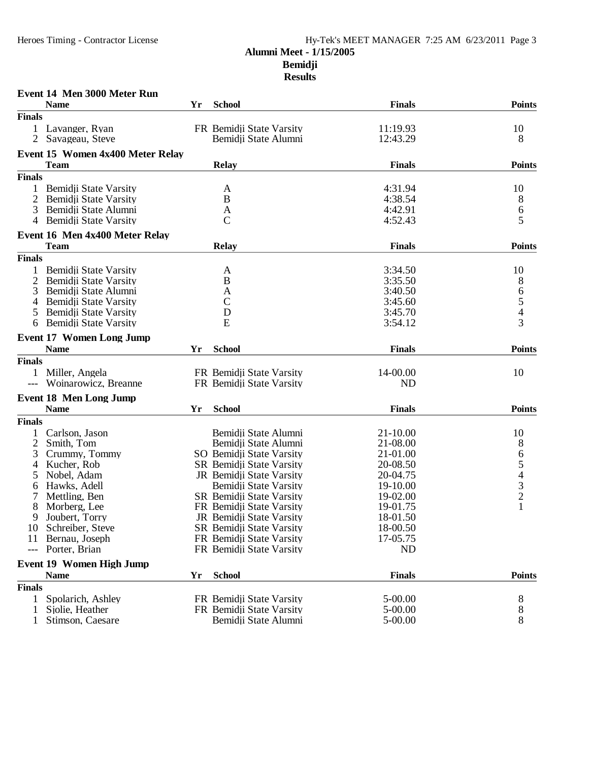|                | Event 14 Men 3000 Meter Run      |    |                          |               |               |
|----------------|----------------------------------|----|--------------------------|---------------|---------------|
|                | <b>Name</b>                      | Yr | <b>School</b>            | <b>Finals</b> | <b>Points</b> |
| <b>Finals</b>  |                                  |    |                          |               |               |
|                | Lavanger, Ryan                   |    | FR Bemidji State Varsity | 11:19.93      | 10            |
| 2              | Savageau, Steve                  |    | Bemidji State Alumni     | 12:43.29      | 8             |
|                | Event 15 Women 4x400 Meter Relay |    |                          |               |               |
|                | <b>Team</b>                      |    | <b>Relay</b>             | <b>Finals</b> | <b>Points</b> |
| <b>Finals</b>  |                                  |    |                          |               |               |
| 1              | Bemidji State Varsity            |    | A                        | 4:31.94       | 10            |
| $\overline{2}$ | Bemidji State Varsity            |    | B                        | 4:38.54       | 8             |
| 3              | Bemidji State Alumni             |    | A                        | 4:42.91       | 6             |
| 4              | Bemidji State Varsity            |    | $\mathcal{C}$            | 4:52.43       | 5             |
|                | Event 16 Men 4x400 Meter Relay   |    |                          |               |               |
|                | <b>Team</b>                      |    | <b>Relay</b>             | <b>Finals</b> | <b>Points</b> |
| <b>Finals</b>  |                                  |    |                          |               |               |
|                | Bemidji State Varsity            |    | A                        | 3:34.50       | 10            |
| 2              | Bemidji State Varsity            |    | B                        | 3:35.50       | 8             |
| 3              | Bemidji State Alumni             |    | A                        | 3:40.50       |               |
| 4              | Bemidji State Varsity            |    | $\mathsf{C}$             | 3:45.60       | 6<br>5<br>4   |
|                | Bemidji State Varsity            |    | D                        | 3:45.70       |               |
| 6              | Bemidji State Varsity            |    | E                        | 3:54.12       | 3             |
|                | <b>Event 17 Women Long Jump</b>  |    |                          |               |               |
|                | <b>Name</b>                      | Yr | <b>School</b>            | <b>Finals</b> | <b>Points</b> |
| <b>Finals</b>  |                                  |    |                          |               |               |
| $\mathbf{1}$   | Miller, Angela                   |    | FR Bemidji State Varsity | 14-00.00      | 10            |
| $---$          | Woinarowicz, Breanne             |    | FR Bemidji State Varsity | <b>ND</b>     |               |
|                | <b>Event 18 Men Long Jump</b>    |    |                          |               |               |
|                | <b>Name</b>                      | Yr | <b>School</b>            | <b>Finals</b> | <b>Points</b> |
| <b>Finals</b>  |                                  |    |                          |               |               |
|                | Carlson, Jason                   |    | Bemidji State Alumni     | 21-10.00      | 10            |
| 2              | Smith, Tom                       |    | Bemidji State Alumni     | 21-08.00      | 8             |
| 3              | Crummy, Tommy                    |    | SO Bemidji State Varsity | 21-01.00      |               |
| 4              | Kucher, Rob                      |    | SR Bemidji State Varsity | 20-08.50      | 65432         |
| 5              | Nobel, Adam                      |    | JR Bemidji State Varsity | 20-04.75      |               |
| 6              | Hawks, Adell                     |    | Bemidji State Varsity    | 19-10.00      |               |
|                | Mettling, Ben                    |    | SR Bemidji State Varsity | 19-02.00      |               |
|                | Morberg, Lee                     |    | FR Bemidji State Varsity | 19-01.75      | $\mathbf{1}$  |
|                | 9 Joubert, Torry                 |    | JR Bemidji State Varsity | 18-01.50      |               |
|                | 10 Schreiber, Steve              |    | SR Bemidji State Varsity | 18-00.50      |               |
| 11             | Bernau, Joseph                   |    | FR Bemidii State Varsity | 17-05.75      |               |
| $---$          | Porter, Brian                    |    | FR Bemidji State Varsity | <b>ND</b>     |               |
|                |                                  |    |                          |               |               |
|                | <b>Event 19 Women High Jump</b>  |    |                          |               |               |
|                | <b>Name</b>                      | Yr | <b>School</b>            | <b>Finals</b> | <b>Points</b> |
| <b>Finals</b>  |                                  |    |                          |               |               |
| 1              | Spolarich, Ashley                |    | FR Bemidji State Varsity | 5-00.00       | 8             |
| 1              | Sjolie, Heather                  |    | FR Bemidji State Varsity | 5-00.00       | 8             |
|                | Stimson, Caesare                 |    | Bemidji State Alumni     | 5-00.00       | 8             |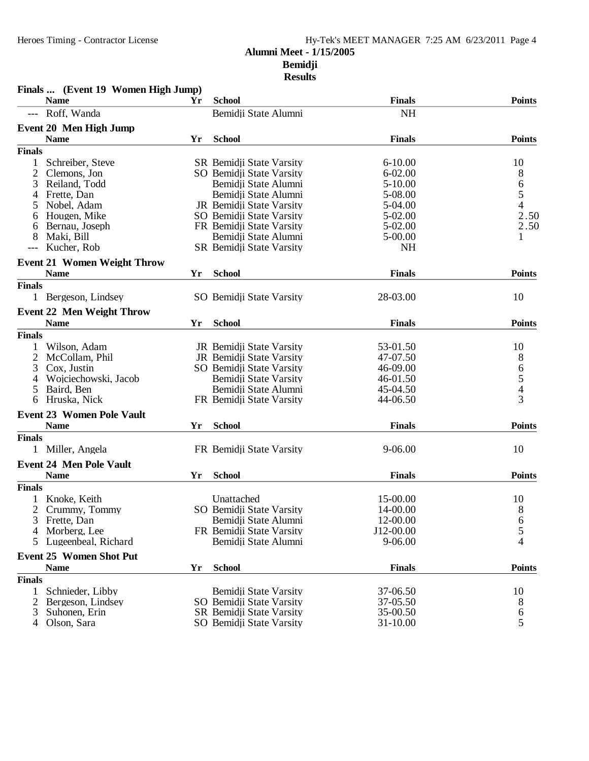| Finals  (Event 19 Women High Jump)            |    |                          |               |                                            |
|-----------------------------------------------|----|--------------------------|---------------|--------------------------------------------|
| <b>Name</b>                                   | Yr | <b>School</b>            | <b>Finals</b> | <b>Points</b>                              |
| Roff, Wanda                                   |    | Bemidii State Alumni     | <b>NH</b>     |                                            |
| <b>Event 20 Men High Jump</b>                 |    |                          |               |                                            |
| <b>Name</b>                                   | Yr | <b>School</b>            | <b>Finals</b> | <b>Points</b>                              |
| <b>Finals</b>                                 |    |                          |               |                                            |
| 1<br>Schreiber, Steve                         |    | SR Bemidji State Varsity | $6 - 10.00$   | 10                                         |
| 2<br>Clemons, Jon                             |    | SO Bemidji State Varsity | $6 - 02.00$   | 8                                          |
| 3<br>Reiland, Todd                            |    | Bemidji State Alumni     | 5-10.00       |                                            |
| Frette, Dan<br>4                              |    | Bemidii State Alumni     | 5-08.00       | $\frac{6}{5}$                              |
| 5<br>Nobel, Adam                              |    | JR Bemidji State Varsity | 5-04.00       | $\overline{4}$                             |
| Hougen, Mike<br>6                             |    | SO Bemidji State Varsity | 5-02.00       | 2.50                                       |
| Bernau, Joseph<br>6                           |    | FR Bemidji State Varsity | 5-02.00       | 2.50                                       |
| Maki, Bill<br>8                               |    | Bemidji State Alumni     | 5-00.00       | 1                                          |
| Kucher, Rob<br>$---$                          |    | SR Bemidji State Varsity | <b>NH</b>     |                                            |
| <b>Event 21 Women Weight Throw</b>            |    |                          |               |                                            |
| <b>Name</b>                                   | Yr | <b>School</b>            | <b>Finals</b> | <b>Points</b>                              |
| <b>Finals</b>                                 |    |                          |               |                                            |
| 1 Bergeson, Lindsey                           |    | SO Bemidii State Varsity | 28-03.00      | 10                                         |
| <b>Event 22 Men Weight Throw</b>              |    |                          |               |                                            |
| <b>Name</b>                                   | Yr | <b>School</b>            | <b>Finals</b> | <b>Points</b>                              |
| <b>Finals</b>                                 |    |                          |               |                                            |
| Wilson, Adam                                  |    | JR Bemidji State Varsity | 53-01.50      | 10                                         |
| 2<br>McCollam, Phil                           |    | JR Bemidji State Varsity | 47-07.50      | 8                                          |
| 3<br>Cox, Justin                              |    | SO Bemidji State Varsity | 46-09.00      |                                            |
| Wojciechowski, Jacob<br>4                     |    | Bemidji State Varsity    | 46-01.50      | $\begin{array}{c} 6 \\ 5 \\ 4 \end{array}$ |
| Baird, Ben<br>5                               |    | Bemidji State Alumni     | 45-04.50      |                                            |
| Hruska, Nick<br>6                             |    | FR Bemidji State Varsity | 44-06.50      | $\overline{3}$                             |
| <b>Event 23 Women Pole Vault</b>              |    |                          |               |                                            |
| <b>Name</b>                                   | Yr | <b>School</b>            | <b>Finals</b> | <b>Points</b>                              |
| <b>Finals</b>                                 |    |                          |               |                                            |
| Miller, Angela<br>$\mathbf{1}$                |    | FR Bemidji State Varsity | 9-06.00       | 10                                         |
| <b>Event 24 Men Pole Vault</b>                |    |                          |               |                                            |
| <b>Name</b>                                   | Yr | <b>School</b>            | <b>Finals</b> | <b>Points</b>                              |
| <b>Finals</b>                                 |    |                          |               |                                            |
| Knoke, Keith                                  |    | Unattached               | 15-00.00      | 10                                         |
| 2<br>Crummy, Tommy                            |    | SO Bemidii State Varsity | 14-00.00      | 8                                          |
| Frette, Dan<br>3                              |    | Bemidji State Alumni     | 12-00.00      | 6                                          |
| Morberg, Lee<br>4                             |    | FR Bemidji State Varsity | J12-00.00     | 5                                          |
| Lugeenbeal, Richard<br>5                      |    | Bemidji State Alumni     | 9-06.00       | 4                                          |
|                                               |    |                          |               |                                            |
| <b>Event 25 Women Shot Put</b><br><b>Name</b> | Yr | <b>School</b>            | <b>Finals</b> | <b>Points</b>                              |
| <b>Finals</b>                                 |    |                          |               |                                            |
|                                               |    |                          |               |                                            |
| Schnieder, Libby<br>1                         |    | Bemidji State Varsity    | 37-06.50      | 10                                         |
| Bergeson, Lindsey<br>2                        |    | SO Bemidji State Varsity | 37-05.50      | 8                                          |
| 3<br>Suhonen, Erin                            |    | SR Bemidji State Varsity | 35-00.50      | 6                                          |
| Olson, Sara<br>4                              |    | SO Bemidji State Varsity | 31-10.00      | 5                                          |